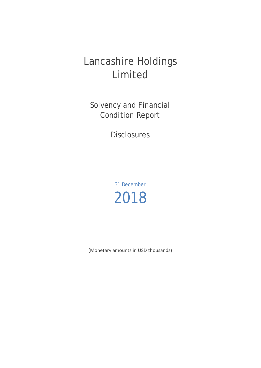# Lancashire Holdings Limited

Solvency and Financial Condition Report

**Disclosures** 

31 December 2018

(Monetary amounts in USD thousands)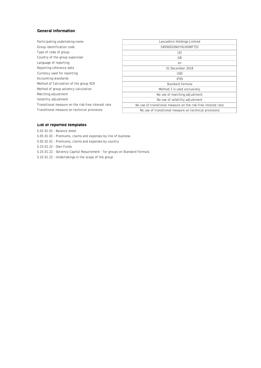## **General information**

| Participating undertaking name                      | Lancashire Holdings Limited                                   |
|-----------------------------------------------------|---------------------------------------------------------------|
| Group identification code                           | 5493002UNUYXLHOWF752                                          |
| Type of code of group                               | LEI                                                           |
| Country of the group supervisor                     | GB                                                            |
| Language of reporting                               | en                                                            |
| Reporting reference date                            | 31 December 2018                                              |
| Currency used for reporting                         | USD.                                                          |
| Accounting standards                                | <b>IFRS</b>                                                   |
| Method of Calculation of the group SCR              | Standard formula                                              |
| Method of group solvency calculation                | Method 1 is used exclusively                                  |
| Matching adjustment                                 | No use of matching adjustment                                 |
| Volatility adjustment                               | No use of volatility adjustment                               |
| Transitional measure on the risk-free interest rate | No use of transitional measure on the risk-free interest rate |
| Transitional measure on technical provisions        | No use of transitional measure on technical provisions        |
|                                                     |                                                               |

### **List of reported templates**

- S.02.01.02 Balance sheet
- S.05.01.02 Premiums, claims and expenses by line of business
- S.05.02.01 Premiums, claims and expenses by country

S.23.01.22 - Own Funds

- S.25.01.22 Solvency Capital Requirement for groups on Standard Formula
- S.32.01.22 Undertakings in the scope of the group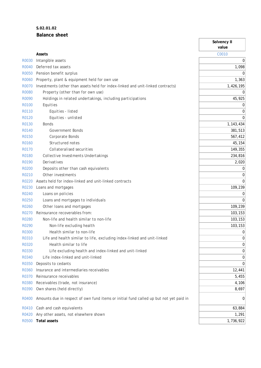# **S.02.01.02 Balance sheet**

|              |                                                                                        | Solvency II<br>value |
|--------------|----------------------------------------------------------------------------------------|----------------------|
|              | Assets                                                                                 | C0010                |
| R0030        | Intangible assets                                                                      | 0                    |
| R0040        | Deferred tax assets                                                                    | 1,098                |
| <b>R0050</b> | Pension benefit surplus                                                                | $\Omega$             |
| <b>R0060</b> | Property, plant & equipment held for own use                                           | 1,363                |
| R0070        | Investments (other than assets held for index-linked and unit-linked contracts)        | 1,426,195            |
| <b>R0080</b> | Property (other than for own use)                                                      | 0                    |
| R0090        | Holdings in related undertakings, including participations                             | 45,925               |
| R0100        | Equities                                                                               | 0                    |
| R0110        | Equities - listed                                                                      | 0                    |
| R0120        | Equities - unlisted                                                                    | $\Omega$             |
| R0130        | <b>Bonds</b>                                                                           | 1,143,434            |
| R0140        | <b>Government Bonds</b>                                                                | 381,513              |
| R0150        | Corporate Bonds                                                                        | 567,412              |
| R0160        | Structured notes                                                                       | 45,154               |
| R0170        | Collateralised securities                                                              | 149,355              |
| R0180        | Collective Investments Undertakings                                                    | 234,816              |
| R0190        | Derivatives                                                                            | 2,020                |
| <b>R0200</b> | Deposits other than cash equivalents                                                   | 0                    |
| R0210        | Other investments                                                                      | 0                    |
| R0220        | Assets held for index-linked and unit-linked contracts                                 | $\Omega$             |
| R0230        | Loans and mortgages                                                                    | 109,239              |
| R0240        | Loans on policies                                                                      | 0                    |
| R0250        | Loans and mortgages to individuals                                                     | $\Omega$             |
| R0260        | Other loans and mortgages                                                              | 109,239              |
| R0270        | Reinsurance recoverables from:                                                         | 103,153              |
| <b>R0280</b> | Non-life and health similar to non-life                                                | 103,153              |
| R0290        | Non-life excluding health                                                              | 103,153              |
| R0300        | Health similar to non-life                                                             | 0                    |
| R0310        | Life and health similar to life, excluding index-linked and unit-linked                | 0                    |
| R0320        | Health similar to life                                                                 | 0                    |
| R0330        | Life excluding health and index-linked and unit-linked                                 | 0                    |
| R0340        | Life index-linked and unit-linked                                                      | 0                    |
| R0350        | Deposits to cedants                                                                    | $\Omega$             |
| R0360        | Insurance and intermediaries receivables                                               | 12,441               |
| R0370        | Reinsurance receivables                                                                | 5,455                |
| R0380        | Receivables (trade, not insurance)                                                     | 4,106                |
| R0390        | Own shares (held directly)                                                             | 8,697                |
| R0400        | Amounts due in respect of own fund items or initial fund called up but not yet paid in | 0                    |
| R0410        | Cash and cash equivalents                                                              | 63,884               |
| R0420        | Any other assets, not elsewhere shown                                                  | 1,291                |
| R0500        | <b>Total assets</b>                                                                    | 1,736,922            |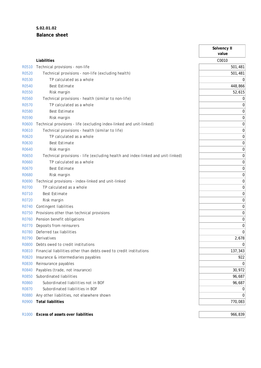# **S.02.01.02 Balance sheet**

|                   |                                                                                 | Solvency II<br>value |
|-------------------|---------------------------------------------------------------------------------|----------------------|
|                   | Liabilities                                                                     | C0010                |
| R0510             | Technical provisions - non-life                                                 | 501,481              |
| <b>R0520</b>      | Technical provisions - non-life (excluding health)                              | 501,481              |
| R0530             | TP calculated as a whole                                                        | 0                    |
| <b>R0540</b>      | <b>Best Estimate</b>                                                            | 448,866              |
| <b>R0550</b>      | Risk margin                                                                     | 52,615               |
| <b>R0560</b>      | Technical provisions - health (similar to non-life)                             | 0                    |
| R0570             | TP calculated as a whole                                                        | 0                    |
| <b>R0580</b>      | <b>Best Estimate</b>                                                            | 0                    |
| R0590             | Risk margin                                                                     | 0                    |
| R0600             | Technical provisions - life (excluding index-linked and unit-linked)            | 0                    |
| R0610             | Technical provisions - health (similar to life)                                 | 0                    |
| R0620             | TP calculated as a whole                                                        | 0                    |
| R0630             | <b>Best Estimate</b>                                                            | 0                    |
| R0640             | Risk margin                                                                     | 0                    |
| R0650             | Technical provisions - life (excluding health and index-linked and unit-linked) | 0                    |
| R0660             | TP calculated as a whole                                                        | 0                    |
| R0670             | <b>Best Estimate</b>                                                            | 0                    |
| R0680             | Risk margin                                                                     | 0                    |
| R0690             | Technical provisions - index-linked and unit-linked                             | 0                    |
| <b>R0700</b>      | TP calculated as a whole                                                        | 0                    |
| R0710             | <b>Best Estimate</b>                                                            | 0                    |
| R0720             | Risk margin                                                                     | 0                    |
| R0740             | Contingent liabilities                                                          | 0                    |
| R0750             | Provisions other than technical provisions                                      | 0                    |
| R0760             | Pension benefit obligations                                                     | 0                    |
| <b>R0770</b>      | Deposits from reinsurers                                                        | 0                    |
| R0780             | Deferred tax liabilities                                                        | $\Omega$             |
| R0790             | Derivatives                                                                     | 2,678                |
| R0800             | Debts owed to credit institutions                                               | 0                    |
| R0810             | Financial liabilities other than debts owed to credit institutions              | 137,343              |
| R0820             | Insurance & intermediaries payables                                             | 922                  |
| R0830             | Reinsurance payables                                                            | 0                    |
| R0840             | Payables (trade, not insurance)                                                 | 30,972               |
| <b>R0850</b>      | Subordinated liabilities                                                        | 96,687               |
| R0860             | Subordinated liabilities not in BOF                                             | 96,687               |
| R0870             | Subordinated liabilities in BOF                                                 | 0                    |
| <b>R0880</b>      | Any other liabilities, not elsewhere shown                                      | $\Omega$             |
| R0900             | <b>Total liabilities</b>                                                        | 770,083              |
| R <sub>1000</sub> | Excess of assets over liabilities                                               | 966,839              |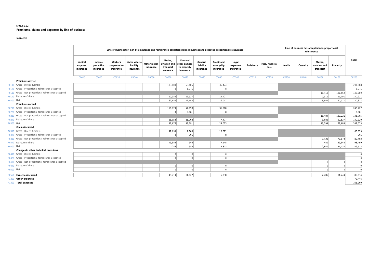### **S.05.01.02 Premiums, claims and expenses by line of business**

#### **Non-life**

|                                                     |                                 | Line of Business for: non-life insurance and reinsurance obligations (direct business and accepted proportional reinsurance) |                                       |                                         |                          |                                                   | Line of business for: accepted non-proportional<br>reinsurance |                                   |                                       |                                |            |                         |        |          |                                      |          |                |
|-----------------------------------------------------|---------------------------------|------------------------------------------------------------------------------------------------------------------------------|---------------------------------------|-----------------------------------------|--------------------------|---------------------------------------------------|----------------------------------------------------------------|-----------------------------------|---------------------------------------|--------------------------------|------------|-------------------------|--------|----------|--------------------------------------|----------|----------------|
|                                                     | Medical<br>expense<br>insurance | Income<br>protection<br>insurance                                                                                            | Workers'<br>compensation<br>insurance | Motor vehicle<br>liability<br>insurance | Other motor<br>insurance | Marine,<br>aviation and<br>transport<br>insurance | Fire and<br>other damage<br>to property<br>insurance           | General<br>liability<br>insurance | Credit and<br>suretyship<br>insurance | Legal<br>expenses<br>insurance | Assistance | Misc. financial<br>loss | Health | Casualty | Marine.<br>aviation and<br>transport | Property | Total          |
|                                                     | C0010                           | C0020                                                                                                                        | C0030                                 | C0040                                   | C0050                    | C0060                                             | C0070                                                          | C0080                             | C0090                                 | C0100                          | C0110      | C0120                   | C0130  | C0140    | C0150                                | C0160    | C0200          |
| Premiums written                                    |                                 |                                                                                                                              |                                       |                                         |                          |                                                   |                                                                |                                   |                                       |                                |            |                         |        |          |                                      |          |                |
| R0110 Gross - Direct Business                       |                                 |                                                                                                                              |                                       |                                         |                          | 133,009                                           | 63,405                                                         |                                   | 35,474                                |                                |            |                         |        |          |                                      |          | 231,888        |
| R0120 Gross - Proportional reinsurance accepted     |                                 |                                                                                                                              |                                       |                                         |                          | $\Omega$                                          | 1,775                                                          |                                   |                                       |                                |            |                         |        |          |                                      |          | 1,775          |
| R0130 Gross - Non-proportional reinsurance accepted |                                 |                                                                                                                              |                                       |                                         |                          |                                                   |                                                                |                                   |                                       |                                |            |                         |        |          | 16,418                               | 131,662  | 148,080        |
| R0140 Reinsurers' share                             |                                 |                                                                                                                              |                                       |                                         |                          | 50,355                                            | 22,537                                                         |                                   | 19,427                                |                                |            |                         |        |          | 7,511                                | 51,091   | 150,921        |
| R0200 Net                                           |                                 |                                                                                                                              |                                       |                                         |                          | 82.654                                            | 42,643                                                         |                                   | 16.047                                |                                |            |                         |        |          | 8.907                                | 80.571   | 230,822        |
| Premiums earned                                     |                                 |                                                                                                                              |                                       |                                         |                          |                                                   |                                                                |                                   |                                       |                                |            |                         |        |          |                                      |          |                |
| R0210 Gross - Direct Business                       |                                 |                                                                                                                              |                                       |                                         |                          | 150,729                                           | 57,998                                                         |                                   | 31,500                                |                                |            |                         |        |          |                                      |          | 240,227        |
| R0220 Gross - Proportional reinsurance accepted     |                                 |                                                                                                                              |                                       |                                         |                          | 0                                                 | 2,061                                                          |                                   | $\Omega$                              |                                |            |                         |        |          |                                      |          | 2.061          |
| R0230 Gross - Non-proportional reinsurance accepted |                                 |                                                                                                                              |                                       |                                         |                          |                                                   |                                                                |                                   |                                       |                                |            |                         |        |          | 16,484                               | 129,221  | 145,705        |
| R0240 Reinsurers' share                             |                                 |                                                                                                                              |                                       |                                         |                          | 58,053                                            | 21,768                                                         |                                   | 7,477                                 |                                |            |                         |        |          | 3,085                                | 50,537   | 140,920        |
| R0300 Net                                           |                                 |                                                                                                                              |                                       |                                         |                          | 92,676                                            | 38,291                                                         |                                   | 24,023                                |                                |            |                         |        |          | 13,399                               | 78,684   | 247,073        |
| Claims incurred                                     |                                 |                                                                                                                              |                                       |                                         |                          |                                                   |                                                                |                                   |                                       |                                |            |                         |        |          |                                      |          |                |
| R0310 Gross - Direct Business                       |                                 |                                                                                                                              |                                       |                                         |                          | 49,699                                            | 1,105                                                          |                                   | 13,021                                |                                |            |                         |        |          |                                      |          | 63,825         |
| R0320 Gross - Proportional reinsurance accepted     |                                 |                                                                                                                              |                                       |                                         |                          | $\Omega$                                          | 795                                                            |                                   | $\Omega$                              |                                |            |                         |        |          |                                      |          | 795            |
| R0330 Gross - Non-proportional reinsurance accepted |                                 |                                                                                                                              |                                       |                                         |                          |                                                   |                                                                |                                   |                                       |                                |            |                         |        |          | 3,420                                | 77,072   | 80,492         |
| R0340 Reinsurers' share                             |                                 |                                                                                                                              |                                       |                                         |                          | 49,985                                            | 946                                                            |                                   | 7,148                                 |                                |            |                         |        |          | 480                                  | 39,940   | 98.499         |
| R0400 Net                                           |                                 |                                                                                                                              |                                       |                                         |                          | $-286$                                            | 954                                                            |                                   | 5,873                                 |                                |            |                         |        |          | 2.940                                | 37,132   | 46,613         |
| Changes in other technical provisions               |                                 |                                                                                                                              |                                       |                                         |                          |                                                   |                                                                |                                   |                                       |                                |            |                         |        |          |                                      |          |                |
| R0410 Gross - Direct Business                       |                                 |                                                                                                                              |                                       |                                         |                          | 0                                                 | $\Omega$                                                       |                                   | $\Omega$                              |                                |            |                         |        |          |                                      |          | $\overline{0}$ |
| R0420 Gross - Proportional reinsurance accepted     |                                 |                                                                                                                              |                                       |                                         |                          | $\Omega$                                          |                                                                |                                   | $\Omega$                              |                                |            |                         |        |          |                                      |          | $\overline{0}$ |
| R0430 Gross - Non-proportional reinsurance accepted |                                 |                                                                                                                              |                                       |                                         |                          |                                                   |                                                                |                                   |                                       |                                |            |                         |        |          | $\Omega$                             |          | $\Omega$       |
| R0440 Reinsurers' share                             |                                 |                                                                                                                              |                                       |                                         |                          | 0                                                 |                                                                |                                   | $\Omega$                              |                                |            |                         |        |          |                                      |          | $\overline{0}$ |
| <b>R0500 Net</b>                                    |                                 |                                                                                                                              |                                       |                                         |                          | $\Omega$                                          |                                                                |                                   | $\Omega$                              |                                |            |                         |        |          |                                      | $\Omega$ | $\Omega$       |
| R0550 Expenses incurred                             |                                 |                                                                                                                              |                                       |                                         |                          | 49,719                                            | 14,127                                                         |                                   | 5,038                                 |                                |            |                         |        |          | 2,486                                | 14,244   | 85,614         |
| R1200 Other expenses                                |                                 |                                                                                                                              |                                       |                                         |                          |                                                   |                                                                |                                   |                                       |                                |            |                         |        |          |                                      |          | 79,446         |
| R1300 Total expenses                                |                                 |                                                                                                                              |                                       |                                         |                          |                                                   |                                                                |                                   |                                       |                                |            |                         |        |          |                                      |          | 165,060        |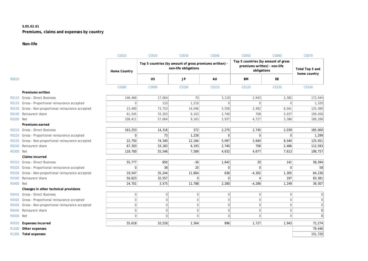# **S.05.02.01 Premiums, claims and expenses by country**

# **Non-life**

|                  |                                                     | C0010        | C0020          | C0030                                                                           | C0040        | C0050                                                                              | C0060        | C0070                           |
|------------------|-----------------------------------------------------|--------------|----------------|---------------------------------------------------------------------------------|--------------|------------------------------------------------------------------------------------|--------------|---------------------------------|
|                  |                                                     | Home Country |                | Top 5 countries (by amount of gross premiums written) -<br>non-life obligations |              | Top 5 countries (by amount of gross<br>premiums written) - non-life<br>obligations |              | Total Top 5 and<br>home country |
| R0010            |                                                     |              | <b>US</b>      | JP                                                                              | AU           | BM                                                                                 | <b>DE</b>    |                                 |
|                  |                                                     | C0080        | C0090          | C0100                                                                           | C0110        | C0120                                                                              | C0130        | C0140                           |
|                  | Premiums written                                    |              |                |                                                                                 |              |                                                                                    |              |                                 |
|                  | R0110 Gross - Direct Business                       | 146,466      | 17,064         | 70                                                                              | 3,119        | 2,943                                                                              | 2,382        | 172,044                         |
|                  | R0120 Gross - Proportional reinsurance accepted     | $\mathbf{0}$ | 110            | 1,210                                                                           | $\Omega$     | $\Omega$                                                                           | $\Omega$     | 1,320                           |
|                  | R0130 Gross - Non-proportional reinsurance accepted | 23,490       | 73,753         | 14,046                                                                          | 5,558        | 2,492                                                                              | 6,041        | 125,380                         |
|                  | R0140 Reinsurers' share                             | 61,545       | 33,263         | 6,163                                                                           | 2,740        | 708                                                                                | 5,037        | 109,456                         |
| R0200            | Net                                                 | 108,411      | 57.664         | 9,163                                                                           | 5,937        | 4,727                                                                              | 3,386        | 189,288                         |
|                  | Premiums earned                                     |              |                |                                                                                 |              |                                                                                    |              |                                 |
|                  | R0210 Gross - Direct Business                       | 163,253      | 14,316         | 372                                                                             | 2,275        | 2,745                                                                              | 2,039        | 185,000                         |
| R0220            | Gross - Proportional reinsurance accepted           | $\mathbf 0$  | 73             | 1,226                                                                           |              | $\Omega$                                                                           | 0            | 1,299                           |
| R0230            | Gross - Non-proportional reinsurance accepted       | 22,750       | 74,340         | 12,184                                                                          | 5,097        | 2,640                                                                              | 8,040        | 125,051                         |
| R0240            | Reinsurers' share                                   | 67,303       | 33,183         | 6,193                                                                           | 2,740        | 708                                                                                | 2,466        | 112,593                         |
| R0300            | Net                                                 | 118,700      | 55,546         | 7,589                                                                           | 4,632        | 4,677                                                                              | 7,613        | 198,757                         |
|                  | Claims incurred                                     |              |                |                                                                                 |              |                                                                                    |              |                                 |
|                  | R0310 Gross - Direct Business                       | 55,777       | 850            | $-36$                                                                           | 1,642        | 20                                                                                 | 141          | 58,394                          |
| R0320            | Gross - Proportional reinsurance accepted           | $\mathbf{0}$ | 38             | 20                                                                              |              | $\Omega$                                                                           | $\Omega$     | 58                              |
| R0330            | Gross - Non-proportional reinsurance accepted       | 19,547       | 35,244         | 11,804                                                                          | 638          | $-4,302$                                                                           | 1,305        | 64,236                          |
| R0340            | Reinsurers' share                                   | 50,623       | 32,557         | $\Omega$                                                                        |              |                                                                                    | 197          | 83,381                          |
| R0400            | Net                                                 | 24,701       | 3,575          | 11,788                                                                          | 2,280        | $-4,286$                                                                           | 1,249        | 39,307                          |
|                  | Changes in other technical provisions               |              |                |                                                                                 |              |                                                                                    |              |                                 |
|                  | R0410 Gross - Direct Business                       | $\mathbf{0}$ | $\Omega$       | $\overline{0}$                                                                  | $\Omega$     | $\overline{0}$                                                                     | 0            |                                 |
| R0420            | Gross - Proportional reinsurance accepted           | $\mathbf 0$  | $\overline{0}$ | $\overline{0}$                                                                  | $\mathbf 0$  | $\overline{0}$                                                                     | $\mathbf{0}$ | $\mathbf 0$                     |
|                  | R0430 Gross - Non-proportional reinsurance accepted | $\mathbf{0}$ | $\Omega$       | $\overline{0}$                                                                  | $\mathbf{0}$ | $\Omega$                                                                           | $\Omega$     | $\Omega$                        |
| R0440            | Reinsurers' share                                   | $\mathbf{0}$ | $\Omega$       | $\overline{0}$                                                                  | $\mathbf{0}$ | $\overline{0}$                                                                     | 0            | $\Omega$                        |
| <b>R0500 Net</b> |                                                     | $\mathbf{0}$ | $\Omega$       | $\overline{0}$                                                                  | $\Omega$     | $\Omega$                                                                           | $\Omega$     | $\Omega$                        |
|                  | R0550 Expenses incurred                             | 55,618       | 10,526         | 1,564                                                                           | 896          | 1,727                                                                              | 1,943        | 72,274                          |
| R1200            | Other expenses                                      |              |                |                                                                                 |              |                                                                                    |              | 79,446                          |
|                  | R1300 Total expenses                                |              |                |                                                                                 |              |                                                                                    |              | 151,720                         |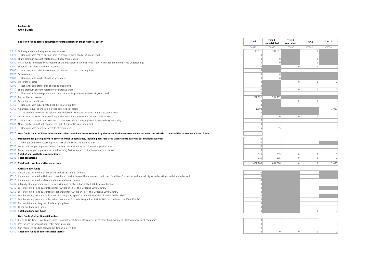# **S.23.01.22**

#### **Own Funds**

|              | Basic own funds before deduction for participations in other financial sector                                                                                               | Total    | Tier 1<br>unrestricted | Tier 1<br>restricted | Tier 2   | Tier 3   |
|--------------|-----------------------------------------------------------------------------------------------------------------------------------------------------------------------------|----------|------------------------|----------------------|----------|----------|
|              |                                                                                                                                                                             | C0010    | C0020                  | C0030                | C0040    | C0050    |
|              | R0010 Ordinary share capital (gross of own shares)                                                                                                                          | 100,971  | 100.971                |                      |          |          |
| R0020        | Non-available called but not paid in ordinary share capital at group level                                                                                                  | $\Omega$ |                        |                      |          |          |
|              | R0030 Share premium account related to ordinary share capital                                                                                                               |          |                        |                      |          |          |
|              | R0040 Initial funds, members' contributions or the equivalent basic own-fund item for mutual and mutual-type undertakings                                                   |          |                        |                      |          |          |
|              | R0050 Subordinated mutual member accounts                                                                                                                                   |          |                        | $\Omega$             |          | $\Omega$ |
| <b>R0060</b> | Non-available subordinated mutual member accounts at group level                                                                                                            |          |                        |                      |          |          |
|              | R0070 Surplus funds                                                                                                                                                         |          |                        |                      |          |          |
| <b>R0080</b> | Non-available surplus funds at group level                                                                                                                                  |          |                        |                      |          |          |
|              | R0090 Preference shares                                                                                                                                                     |          |                        | $\Omega$             |          |          |
| R0100        | Non-available preference shares at group level                                                                                                                              |          |                        |                      |          |          |
|              | R0110 Share premium account related to preference shares                                                                                                                    |          |                        | $\Omega$             |          |          |
| R0120        | Non-available share premium account related to preference shares at group level                                                                                             |          |                        |                      |          |          |
|              | R0130 Reconciliation reserve                                                                                                                                                | 561,152  | 561,152                |                      |          |          |
|              | R0140 Subordinated liabilities                                                                                                                                              |          |                        | $\Omega$             |          | $\Omega$ |
| R0150        | Non-available subordinated liabilities at group level                                                                                                                       |          |                        |                      |          |          |
|              | R0160 An amount equal to the value of net deferred tax assets                                                                                                               | 1,098    |                        |                      |          | 1,098    |
| R0170        | The amount equal to the value of net deferred tax assets not available at the group level                                                                                   |          |                        |                      |          | $\Omega$ |
|              | R0180 Other items approved by supervisory authority as basic own funds not specified above                                                                                  |          | $\Omega$               | $\Omega$             | $\cap$   | $\Omega$ |
| R0190        | Non available own funds related to other own funds items approved by supervisory authority                                                                                  |          |                        |                      |          |          |
|              | R0200 Minority interests (if not reported as part of a specific own fund item)                                                                                              |          |                        |                      |          |          |
| R0210        | Non-available minority interests at group level                                                                                                                             | 315      | 315                    |                      |          |          |
| R0220        | Own funds from the financial statements that should not be represented by the reconciliation reserve and do not meet the criteria to be classified as Solvency II own funds |          |                        |                      |          |          |
| R0230        | Deductions for participations in other financial undertakings, including non-regulated undertakings carrying out financial activities                                       |          |                        |                      |          |          |
| R0240        | whereof deducted according to art 228 of the Directive 2009/138/EC                                                                                                          |          |                        |                      |          |          |
|              | R0250 Deductions for participations where there is non-availability of information (Article 229)                                                                            |          |                        |                      |          |          |
|              | R0260 Deduction for participations included by using D&A when a combination of methods is used                                                                              |          |                        |                      |          |          |
|              | R0270 Total of non-available own fund items                                                                                                                                 | 315      | 315                    | $\Omega$             | $\Omega$ | $\Omega$ |
|              | R0280 Total deductions                                                                                                                                                      | 315      | 315                    | $\Omega$             | $\Omega$ | $\Omega$ |
|              | R0290 Total basic own funds after deductions                                                                                                                                | 662,906  | 661.808                | 0                    | $\Omega$ | 1,098    |
|              | Ancillary own funds                                                                                                                                                         |          |                        |                      |          |          |



- $R0310$  Unpaid and uncalled initial funds, members' contributions or the equivalent basic own fund item for mutual and mutual type undertakings, callable on demand  $\begin{bmatrix} 0 \end{bmatrix}$
- R0320 Unpaid and uncalled preference shares callable on demand and the state of the state of the state of the state of the state of the state of the state of the state of the state of the state of the state of the state of
- R0330 A legally binding commitment to subscribe and pay for subordinated liabilities on demand 0
- R0340 Letters of credit and guarantees under Article 96(2) of the Directive 2009/138/EC 0
- R0350 Letters of credit and guarantees other than under Article 96(2) of the Directive 2009/138/EC 0
- R0360 Supplementary members calls under first subparagraph of Article 96(3) of the Directive 2009/138/EC 0
- R0370 Supplementary members calls other than under first subparagraph of Article 96(3) of the Directive 2009/138/EC 009/138/EC
- R0380 Non available ancillary own funds at group level contact the contact of the contact of the contact of the contact of the contact of the contact of the contact of the contact of the contact of the contact of the conta
- R0390 Other ancillary own funds of the contract of the contract of the contract of the contract of the contract of the contract of the contract of the contract of the contract of the contract of the contract of the contrac
- 

#### **Own funds of other financial sectors**

- R0410 Credit Institutions, investment firms, financial institutions, alternative investment fund managers, UCITS management companies 0
- R0420 Institutions for occupational retirement provision
- R0430 Non regulated entities carrying out financial activities
- **R0440 Total own funds of other financial sectors**

R0400 **Total ancillary own funds** 0 0 0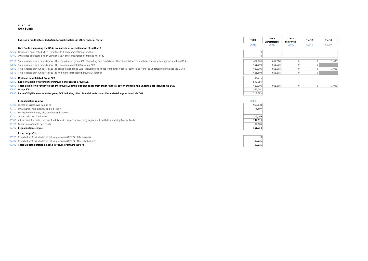#### **S.23.01.22 Own Funds**

**Basic own funds before deduction for participations in other financial sector** 

#### **Own funds when using the D&A, exclusively or in combination of method 1**

- R0450 Own funds aggregated when using the D&A and combination of method
- R0460 Own funds aggregated when using the D&A and combination of method net of IGT
- R0520 Total available own funds to meet the consolidated group SCR (excluding own funds from other financial sector and from the undertakings included via D&A)
- R0530 Total available own funds to meet the minimum consolidated group SCR
- R0560 Total eligible own funds to meet the consolidated group SCR (excluding own funds from other financial sector and from the undertakings included via D&A)
- R0570 Total eligible own funds to meet the minimum consolidated group SCR (group)

#### R0610 Minimum consolidated Group SCR

- **R0650** Ratio of Eligible own funds to Minimum Consolidated Group SCR
- R0660 Total eligible own funds to meet the group SCR (including own funds from other financial sector and from the undertakings included via D&A) R0680 **Group SCR** 535,061 **SCR** 535,061
- R0690 **Ratio of Eligible own funds to group SCR including other financial sectors and the undertakings included via D&A** 123.89%

#### **Reconcilliation reserve** C0060

- R0700 Excess of assets over liabilities
- R0710 Own shares (held directly and indirectly)
- R0720 Forseeable dividends, distributions and charges
- R0730 Other basic own fund items
- R0740 Adjustment for restricted own fund items in respect of matching adjustment portfolios and ring fenced funds
- R0750 Other non available own funds
- **R0760 Reconciliation reserve**

#### **Expected profits**

- R0770 Expected profits included in future premiums (EPIFP) Life business 0
- R0780 Expected profits included in future premiums (EPIFP) Non- life business 99,035
- R0790 **Total Expected profits included in future premiums (EPIFP)** 99,035

| Total | Tier 1<br>unrestricted | Tier 1<br>restricted | Tier 2 | Tier 3 |
|-------|------------------------|----------------------|--------|--------|
| 20010 | 20020                  | 20030                | 20040  | 20050  |

| $\Omega$ |         |             |             |       |
|----------|---------|-------------|-------------|-------|
| $\Omega$ |         |             |             |       |
|          |         |             |             |       |
| 662,906  | 661,808 | $\Omega$    | 0           | 1,098 |
| 661,808  | 661,808 | $\mathbf 0$ | 0           |       |
| 662,906  | 661,808 | $\mathbf 0$ | $\mathbf 0$ | 1,098 |
| 661,804  | 661,808 | $\mathbf 0$ | $\mathbf 0$ |       |
|          |         |             |             |       |
| 124,171  |         |             |             |       |
| 532.98%  |         |             |             |       |
| 662,906  | 661,808 | U           | 0           | 1,098 |
| 535,061  |         |             |             |       |
|          |         |             |             |       |

| C0060   |  |  |  |  |
|---------|--|--|--|--|
| 966.839 |  |  |  |  |
| 8.697   |  |  |  |  |
|         |  |  |  |  |
| 102.069 |  |  |  |  |
| 242,815 |  |  |  |  |
| 52,106  |  |  |  |  |
| 561.152 |  |  |  |  |

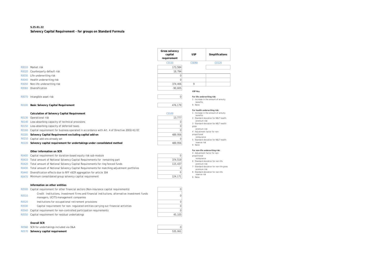### **S.25.01.22 Solvency Capital Requirement - for groups on Standard Formula**

|              |                                                                                             | Gross solvency<br>capital<br>requirement | <b>USP</b>                                         | Simplificat                         |  |
|--------------|---------------------------------------------------------------------------------------------|------------------------------------------|----------------------------------------------------|-------------------------------------|--|
|              |                                                                                             | C0110                                    | C0090                                              | C0120                               |  |
| R0010        | Market risk                                                                                 | 173.584                                  |                                                    |                                     |  |
| R0020        | Counterparty default risk                                                                   | 18.794                                   |                                                    |                                     |  |
| R0030        | Life underwriting risk                                                                      | $\mathbf 0$                              |                                                    |                                     |  |
| R0040        | Health underwriting risk                                                                    | O                                        |                                                    |                                     |  |
| <b>R0050</b> | Non-life underwriting risk                                                                  | 374,406                                  | 9                                                  |                                     |  |
| <b>R0060</b> | Diversification                                                                             | $-90,605$                                |                                                    |                                     |  |
|              |                                                                                             |                                          | USP Key                                            |                                     |  |
| R0070        | Intangible asset risk                                                                       | $\Omega$                                 | For life underwriting risk:                        |                                     |  |
|              |                                                                                             |                                          | benefits                                           | 1 - Increase in the amount of ann   |  |
| R0100        | <b>Basic Solvency Capital Requirement</b>                                                   | 476,179                                  | 9 - None                                           |                                     |  |
|              | Calculation of Solvency Capital Requirement                                                 | C0100                                    | For health underwriting risk:<br>benefits          | 1 - Increase in the amount of ann   |  |
| R0130        | Operational risk                                                                            | 13,777                                   |                                                    | 2 - Standard deviation for NSLT he  |  |
| R0140        | Loss-absorbing capacity of technical provisions                                             |                                          | premium risk<br>3 - Standard deviation for NSLT he |                                     |  |
| R0150        | Loss-absorbing capacity of deferred taxes                                                   |                                          | gross                                              |                                     |  |
| R0160        | Capital requirement for business operated in accordance with Art. 4 of Directive 2003/41/EC |                                          | premium risk<br>4 - Adjustment factor for non-     |                                     |  |
| <b>R0200</b> | Solvency Capital Requirement excluding capital add-on                                       | 489,956                                  | proportional                                       |                                     |  |
| R0210        | Capital add-ons already set                                                                 | O                                        | reinsurance                                        | 5 - Standard deviation for NSLT he  |  |
| R0220        | Solvency capital requirement for undertakings under consolidated method                     | 489,956                                  | reserve risk<br>9 - None                           |                                     |  |
|              |                                                                                             |                                          |                                                    |                                     |  |
|              | Other information on SCR                                                                    |                                          | 4 - Adjustment factor for non-                     | For non-life underwriting risk:     |  |
| R0400        | Capital requirement for duration-based equity risk sub-module                               | $\Omega$                                 | proportional<br>reinsurance                        |                                     |  |
| R0410        | Total amount of Notional Solvency Capital Requirements for remaining part                   | 374,519                                  |                                                    | 6 - Standard deviation for non-life |  |
| R0420        | Total amount of Notional Solvency Capital Requirements for ring fenced funds                | 115,437                                  | premium risk                                       | 7 - Standard deviation for non-life |  |
| R0430        | Total amount of Notional Solvency Capital Requirements for matching adjustment portfolios   | O                                        | premium risk                                       |                                     |  |
| R0440        | Diversification effects due to RFF nSCR aggregation for article 304                         | $\Omega$                                 | reserve risk                                       | 8 - Standard deviation for non-life |  |
| R0470        | Minimum consolidated group solvency capital requirement                                     | 124,171                                  | 9 - None                                           |                                     |  |
|              |                                                                                             |                                          |                                                    |                                     |  |

#### **Information on other entities**

| R0500 Capital requirement for other financial sectors (Non-insurance capital requirements) |  |
|--------------------------------------------------------------------------------------------|--|
|                                                                                            |  |

- R0510 *Credit institutions, investment firms and financial institutions, alternative investment funds managers, UCITS management companies* <sup>0</sup>
- R0520 *Institutions for occupational retirement provisions* 0
- R0530 *Capital requirement for non- regulated entities carrying out financial activities* 0
- R0540 Capital requirement for non-controlled participation requirements  $0$
- R0550 Capital requirement for residual undertakings and the state of the state of the state of the 45,105

#### **Overall SCR**

- R0560 SCR for undertakings included via D&A 0
- R0570 **Solvency capital requirement** 535,061

| 489,956        |
|----------------|
| $\overline{0}$ |
| 489,956        |
|                |
|                |
| $\mathbf{0}$   |
| 374,519        |
| 115,437        |
| 0              |
| 0              |
| 124,171        |
|                |
|                |
| $\overline{0}$ |
|                |



**USP Simplifications**

- 2 Standard deviation for NSLT health premium risk 3 - Standard deviation for NSLT health
- gross premium risk

**For life underwriting risk:** 1 - Increase in the amount of annuity

- 4 Adjustment factor for nonproportional .<br>reinsurance
- 5 Standard deviation for NSLT health reserve risk 9 - None
- 

#### **For non-life underwriting risk:** 4 - Adjustment factor for non-

- proportional
- **reinsurance** 6 - Standard deviation for non-life
- premium risk
- 7 Standard deviation for non-life gross premium risk 8 - Standard deviation for non-life
- reserve risk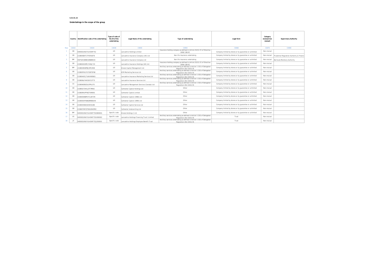#### **S.32.01.22**

### **Undertakings in the scope of the group**

| <b>Supervisory Authority</b>         |  |  |  |  |  |  |  |  |  |
|--------------------------------------|--|--|--|--|--|--|--|--|--|
| C0080                                |  |  |  |  |  |  |  |  |  |
|                                      |  |  |  |  |  |  |  |  |  |
| ential Regulation Authority & Financ |  |  |  |  |  |  |  |  |  |
| uda Monetary Authority               |  |  |  |  |  |  |  |  |  |
|                                      |  |  |  |  |  |  |  |  |  |
|                                      |  |  |  |  |  |  |  |  |  |
|                                      |  |  |  |  |  |  |  |  |  |
|                                      |  |  |  |  |  |  |  |  |  |
|                                      |  |  |  |  |  |  |  |  |  |
|                                      |  |  |  |  |  |  |  |  |  |
|                                      |  |  |  |  |  |  |  |  |  |
|                                      |  |  |  |  |  |  |  |  |  |
|                                      |  |  |  |  |  |  |  |  |  |
|                                      |  |  |  |  |  |  |  |  |  |
|                                      |  |  |  |  |  |  |  |  |  |
|                                      |  |  |  |  |  |  |  |  |  |
|                                      |  |  |  |  |  |  |  |  |  |
|                                      |  |  |  |  |  |  |  |  |  |
|                                      |  |  |  |  |  |  |  |  |  |
|                                      |  |  |  |  |  |  |  |  |  |

|                 |           | Type of code of<br>the ID of the<br>Country   Identification code of the undertaking<br>undertaking |               | Legal Name of the undertaking                 | Type of undertaking                                                                                 | Legal form                                             | Category<br>(mutual/non<br>mutual) | <b>Supervisory Authority</b>              |
|-----------------|-----------|-----------------------------------------------------------------------------------------------------|---------------|-----------------------------------------------|-----------------------------------------------------------------------------------------------------|--------------------------------------------------------|------------------------------------|-------------------------------------------|
| Row             | C0010     | C0020                                                                                               | C0030         | C0040                                         | C0050                                                                                               | C0060                                                  | C0070                              | C0080                                     |
|                 | GB        | 5493002UNUYXLHOWF752                                                                                | LEI           | Lancashire Holdings Limited                   | Insurance holding company as defined in Article 212(1) (f) of Directive<br>2009/138/EC              | Company limited by shares or by guarantee or unlimited | Non-mutual                         |                                           |
|                 | GB        | 213800SEKTC7F87AAE76                                                                                | LEI           | Lancashire Insurance Company (UK) Ltd         | Non life insurance undertaking                                                                      | Company limited by shares or by guarantee or unlimited | Non-mutual                         | Prudential Regulation Authority & Financi |
|                 | BM        | VS0TQHC88NK3ZB6BS534                                                                                | LEI           | Lancashire Insurance Company Ltd              | Non life insurance undertaking                                                                      | Company limited by shares or by guarantee or unlimited | Non-mutual                         | Bermuda Monetary Authority                |
|                 | GB        | 213800XGX9PLYH26JY33                                                                                | LEI           | Lancashire Insurance Holdings (UK) Ltd        | Insurance holding company as defined in Article 212(1) (f) of Directive<br>2009/138/EC              | Company limited by shares or by guarantee or unlimited | Non-mutual                         |                                           |
| 5               | <b>BM</b> | 213800VBV8PBJKPE1R09                                                                                | LEI           | Kinesis Capital Management Ltd                | Ancillary services undertaking as defined in Article 1 (53) of Delegated<br>Regulation (EU) 2015/35 | Company limited by shares or by guarantee or unlimited | Non-mutual                         |                                           |
|                 | GB        | 213800FN11FO7GB7OF68                                                                                | LEI           | KCM Marketing Services Ltd                    | Ancillary services undertaking as defined in Article 1 (53) of Delegated<br>Regulation (EU) 2015/35 | Company limited by shares or by guarantee or unlimited | Non-mutual                         |                                           |
|                 | GB        | 2138004GFJTU6VXWSN31                                                                                | LEI           | Lancashire Insurance Marketing Services Ltd   | Ancillary services undertaking as defined in Article 1 (53) of Delegated<br>Regulation (EU) 2015/35 | Company limited by shares or by guarantee or unlimited | Non-mutual                         |                                           |
| 8               | GB        | 2138006LFHKOSX7L5T75                                                                                | LEI           | Lancashire Insurance Services Ltd             | Ancillary services undertaking as defined in Article 1 (53) of Delegated<br>Regulation (EU) 2015/35 | Company limited by shares or by guarantee or unlimited | Non-mutual                         |                                           |
|                 | CA        | 213800KEBIZUU2PRL375                                                                                | LEI           | Lancashire Management Services (Canada) Ltd   | Ancillary services undertaking as defined in Article 1 (53) of Delegated<br>Regulation (EU) 2015/35 | Company limited by shares or by guarantee or unlimited | Non-mutual                         |                                           |
| 10 <sup>°</sup> | GB        | 213800273IH1JDT7M942                                                                                | LEI           | Cathedral Capital Holdings Ltd                | Other                                                                                               | Company limited by shares or by guarantee or unlimited | Non-mutual                         |                                           |
| 11              | GB        | 213800RIUPP9QTVARE92                                                                                | LEI           | Cathedral Capital Limited                     | Other                                                                                               | Company limited by shares or by guarantee or unlimited | Non-mutual                         |                                           |
| 12 <sup>7</sup> | GB        | 213800O8D8PUYCLB7378                                                                                | LEI           | Cathedral Capital (1998) Ltd                  | Other                                                                                               | Company limited by shares or by guarantee or unlimited | Non-mutual                         |                                           |
| 13 <sup>°</sup> | GB        | 213800GKFNABQMEBDU44                                                                                | LEI           | Cathedral Capital (1999) Ltd                  | Other                                                                                               | Company limited by shares or by guarantee or unlimited | Non-mutual                         |                                           |
| 14              | GB        | 213800VSE6C6IH4H2U88                                                                                | LEI           | Cathedral Capital Services Ltd                | Other                                                                                               | Company limited by shares or by guarantee or unlimited | Non-mutual                         |                                           |
| 15 <sub>1</sub> | GB        | 2138007WFQTDGGZAOM52                                                                                | LEI           | Cathedral Underwriting Ltd                    | Other                                                                                               | Company limited by shares or by guarantee or unlimited | Non-mutual                         |                                           |
| 16              | BM        | 5493002UNUYXLHOWF752GB00001                                                                         | Specific code | Kinesis Holdings 1 Ltd                        | Other                                                                                               | Company limited by shares or by guarantee or unlimited | Non-mutual                         |                                           |
| 17              | US        | 5493002UNUYXLHOWF752US00002                                                                         | Specific code | Lancashire Holdings Financing Trust I Limited | Ancillary services undertaking as defined in Article 1 (53) of Delegated<br>Regulation (EU) 2015/35 | Trust                                                  | Non-mutual                         |                                           |
| 18              | JE        | 5493002UNUYXLHOWF752JE00003                                                                         | Specific code | Lancashire Holdings Employee Benefit Trust    | Ancillary services undertaking as defined in Article 1 (53) of Delegated<br>Regulation (EU) 2015/35 | Trust                                                  | Non-mutual                         |                                           |